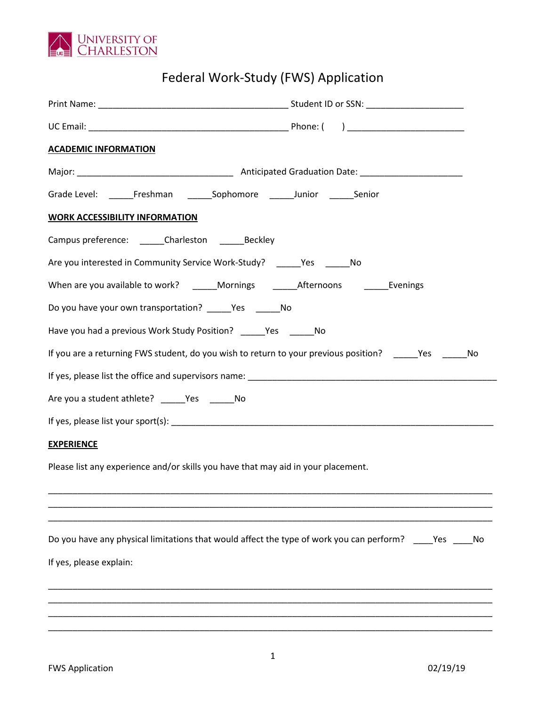

## Federal Work-Study (FWS) Application

| <b>ACADEMIC INFORMATION</b>                                                                                 |     |  |
|-------------------------------------------------------------------------------------------------------------|-----|--|
|                                                                                                             |     |  |
| Grade Level: _______ Freshman ________ Sophomore _______ Junior _______ Senior                              |     |  |
| <b>WORK ACCESSIBILITY INFORMATION</b>                                                                       |     |  |
| Campus preference: _______ Charleston _______ Beckley                                                       |     |  |
| Are you interested in Community Service Work-Study? _______ Yes _______ No                                  |     |  |
| When are you available to work? _____Mornings _______Afternoons ___________Evenings                         |     |  |
| Do you have your own transportation? Yes No                                                                 |     |  |
| Have you had a previous Work Study Position? Yes No                                                         |     |  |
| If you are a returning FWS student, do you wish to return to your previous position? _______Yes ________ No |     |  |
|                                                                                                             |     |  |
| Are you a student athlete? ______Yes _______No                                                              |     |  |
|                                                                                                             |     |  |
| <b>EXPERIENCE</b>                                                                                           |     |  |
| Please list any experience and/or skills you have that may aid in your placement.                           |     |  |
|                                                                                                             |     |  |
| Do you have any physical limitations that would affect the type of work you can perform? _____ Yes          | No. |  |
| If yes, please explain:                                                                                     |     |  |
|                                                                                                             |     |  |
|                                                                                                             |     |  |
|                                                                                                             |     |  |